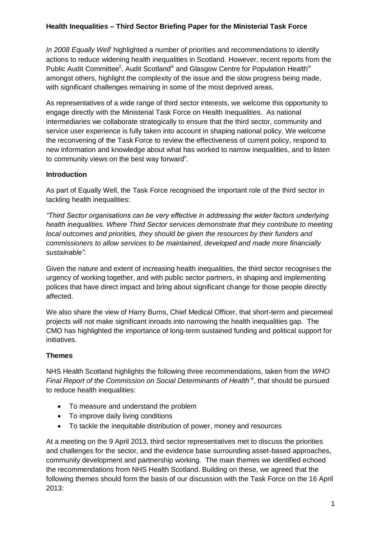# **Health Inequalities – Third Sector Briefing Paper for the Ministerial Task Force**

In 2008 Equally Well highlighted a number of priorities and recommendations to identify actions to reduce widening health inequalities in Scotland. However, recent reports from the Public Audit Committee<sup>ii</sup>, Audit Scotland<sup>iii</sup> and Glasgow Centre for Population Health<sup>iv</sup> amongst others, highlight the complexity of the issue and the slow progress being made, with significant challenges remaining in some of the most deprived areas.

As representatives of a wide range of third sector interests, we welcome this opportunity to engage directly with the Ministerial Task Force on Health Inequalities. As national intermediaries we collaborate strategically to ensure that the third sector, community and service user experience is fully taken into account in shaping national policy. We welcome the reconvening of the Task Force to review the effectiveness of current policy, respond to new information and knowledge about what has worked to narrow inequalities, and to listen to community views on the best way forward<sup>y</sup>.

### **Introduction**

As part of Equally Well, the Task Force recognised the important role of the third sector in tackling health inequalities:

*"Third Sector organisations can be very effective in addressing the wider factors underlying health inequalities. Where Third Sector services demonstrate that they contribute to meeting local outcomes and priorities, they should be given the resources by their funders and commissioners to allow services to be maintained, developed and made more financially sustainable".*

Given the nature and extent of increasing health inequalities, the third sector recognises the urgency of working together, and with public sector partners, in shaping and implementing polices that have direct impact and bring about significant change for those people directly affected.

We also share the view of Harry Burns, Chief Medical Officer, that short-term and piecemeal projects will not make significant inroads into narrowing the health inequalities gap. The CMO has highlighted the importance of long-term sustained funding and political support for initiatives.

# **Themes**

NHS Health Scotland highlights the following three recommendations, taken from the *WHO Final Report of the Commission on Social Determinants of Health*<sup>N</sup>, that should be pursued to reduce health inequalities:

- To measure and understand the problem
- To improve daily living conditions
- To tackle the inequitable distribution of power, money and resources

At a meeting on the 9 April 2013, third sector representatives met to discuss the priorities and challenges for the sector, and the evidence base surrounding asset-based approaches, community development and partnership working. The main themes we identified echoed the recommendations from NHS Health Scotland. Building on these, we agreed that the following themes should form the basis of our discussion with the Task Force on the 16 April 2013: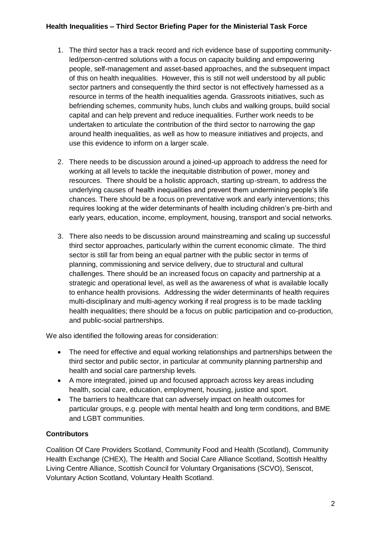# **Health Inequalities – Third Sector Briefing Paper for the Ministerial Task Force**

- 1. The third sector has a track record and rich evidence base of supporting communityled/person-centred solutions with a focus on capacity building and empowering people, self-management and asset-based approaches, and the subsequent impact of this on health inequalities. However, this is still not well understood by all public sector partners and consequently the third sector is not effectively harnessed as a resource in terms of the health inequalities agenda. Grassroots initiatives, such as befriending schemes, community hubs, lunch clubs and walking groups, build social capital and can help prevent and reduce inequalities. Further work needs to be undertaken to articulate the contribution of the third sector to narrowing the gap around health inequalities, as well as how to measure initiatives and projects, and use this evidence to inform on a larger scale.
- 2. There needs to be discussion around a joined-up approach to address the need for working at all levels to tackle the inequitable distribution of power, money and resources. There should be a holistic approach, starting up-stream, to address the underlying causes of health inequalities and prevent them undermining people's life chances. There should be a focus on preventative work and early interventions; this requires looking at the wider determinants of health including children's pre-birth and early years, education, income, employment, housing, transport and social networks.
- 3. There also needs to be discussion around mainstreaming and scaling up successful third sector approaches, particularly within the current economic climate. The third sector is still far from being an equal partner with the public sector in terms of planning, commissioning and service delivery, due to structural and cultural challenges. There should be an increased focus on capacity and partnership at a strategic and operational level, as well as the awareness of what is available locally to enhance health provisions. Addressing the wider determinants of health requires multi-disciplinary and multi-agency working if real progress is to be made tackling health inequalities; there should be a focus on public participation and co-production, and public-social partnerships.

We also identified the following areas for consideration:

- The need for effective and equal working relationships and partnerships between the third sector and public sector, in particular at community planning partnership and health and social care partnership levels.
- A more integrated, joined up and focused approach across key areas including health, social care, education, employment, housing, justice and sport.
- The barriers to healthcare that can adversely impact on health outcomes for particular groups, e.g. people with mental health and long term conditions, and BME and LGBT communities.

# **Contributors**

Coalition Of Care Providers Scotland, Community Food and Health (Scotland), Community Health Exchange (CHEX), The Health and Social Care Alliance Scotland, Scottish Healthy Living Centre Alliance, Scottish Council for Voluntary Organisations (SCVO), Senscot, Voluntary Action Scotland, Voluntary Health Scotland.